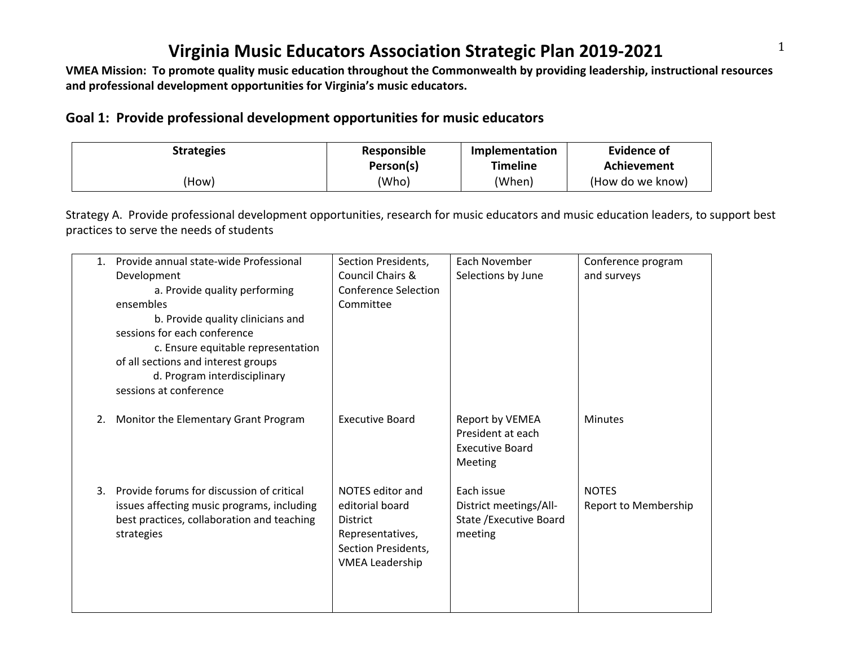**and professional development opportunities for Virginia's music educators.**

#### **Goal 1: Provide professional development opportunities for music educators**

| <b>Strategies</b> | Responsible | Implementation  | Evidence of      |
|-------------------|-------------|-----------------|------------------|
|                   | Person(s)   | <b>Timeline</b> | Achievement      |
| (How)             | (Who)       | (When)          | (How do we know) |

Strategy A. Provide professional development opportunities, research for music educators and music education leaders, to support best practices to serve the needs of students

| 1. | Provide annual state-wide Professional     | Section Presidents,         | Each November           | Conference program   |
|----|--------------------------------------------|-----------------------------|-------------------------|----------------------|
|    | Development                                | <b>Council Chairs &amp;</b> | Selections by June      | and surveys          |
|    | a. Provide quality performing              | <b>Conference Selection</b> |                         |                      |
|    | ensembles                                  | Committee                   |                         |                      |
|    | b. Provide quality clinicians and          |                             |                         |                      |
|    | sessions for each conference               |                             |                         |                      |
|    | c. Ensure equitable representation         |                             |                         |                      |
|    | of all sections and interest groups        |                             |                         |                      |
|    | d. Program interdisciplinary               |                             |                         |                      |
|    | sessions at conference                     |                             |                         |                      |
|    |                                            |                             |                         |                      |
| 2. | Monitor the Elementary Grant Program       | <b>Executive Board</b>      | Report by VEMEA         | <b>Minutes</b>       |
|    |                                            |                             | President at each       |                      |
|    |                                            |                             | <b>Executive Board</b>  |                      |
|    |                                            |                             | Meeting                 |                      |
|    |                                            |                             |                         |                      |
| 3. | Provide forums for discussion of critical  | NOTES editor and            | Each issue              | <b>NOTES</b>         |
|    | issues affecting music programs, including | editorial board             | District meetings/All-  | Report to Membership |
|    | best practices, collaboration and teaching | <b>District</b>             | State / Executive Board |                      |
|    | strategies                                 | Representatives,            | meeting                 |                      |
|    |                                            | Section Presidents,         |                         |                      |
|    |                                            | <b>VMEA Leadership</b>      |                         |                      |
|    |                                            |                             |                         |                      |
|    |                                            |                             |                         |                      |
|    |                                            |                             |                         |                      |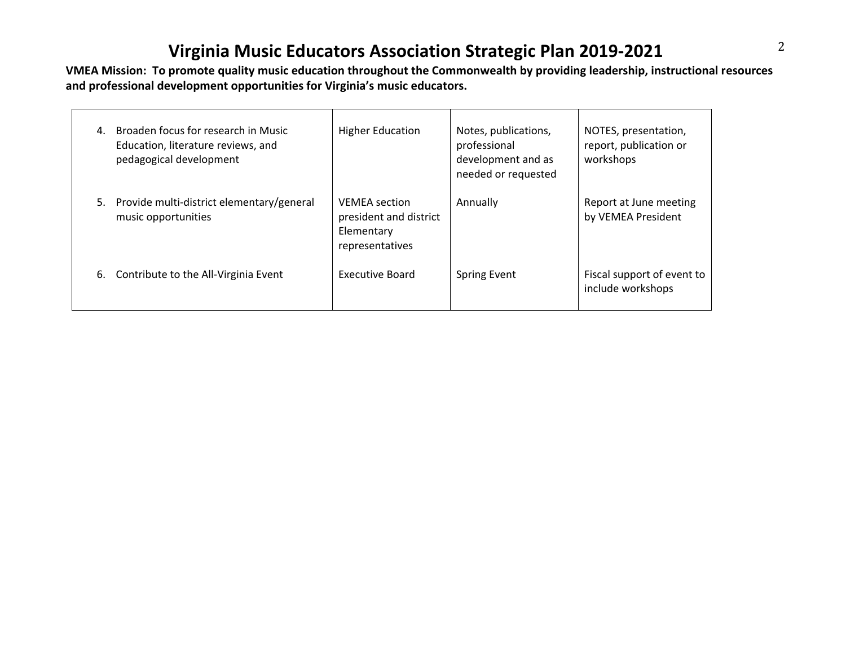**and professional development opportunities for Virginia's music educators.**

| 4. | Broaden focus for research in Music<br>Education, literature reviews, and<br>pedagogical development | <b>Higher Education</b>                                                         | Notes, publications,<br>professional<br>development and as<br>needed or requested | NOTES, presentation,<br>report, publication or<br>workshops |
|----|------------------------------------------------------------------------------------------------------|---------------------------------------------------------------------------------|-----------------------------------------------------------------------------------|-------------------------------------------------------------|
| 5. | Provide multi-district elementary/general<br>music opportunities                                     | <b>VEMEA</b> section<br>president and district<br>Elementary<br>representatives | Annually                                                                          | Report at June meeting<br>by VEMEA President                |
| 6. | Contribute to the All-Virginia Event                                                                 | Executive Board                                                                 | <b>Spring Event</b>                                                               | Fiscal support of event to<br>include workshops             |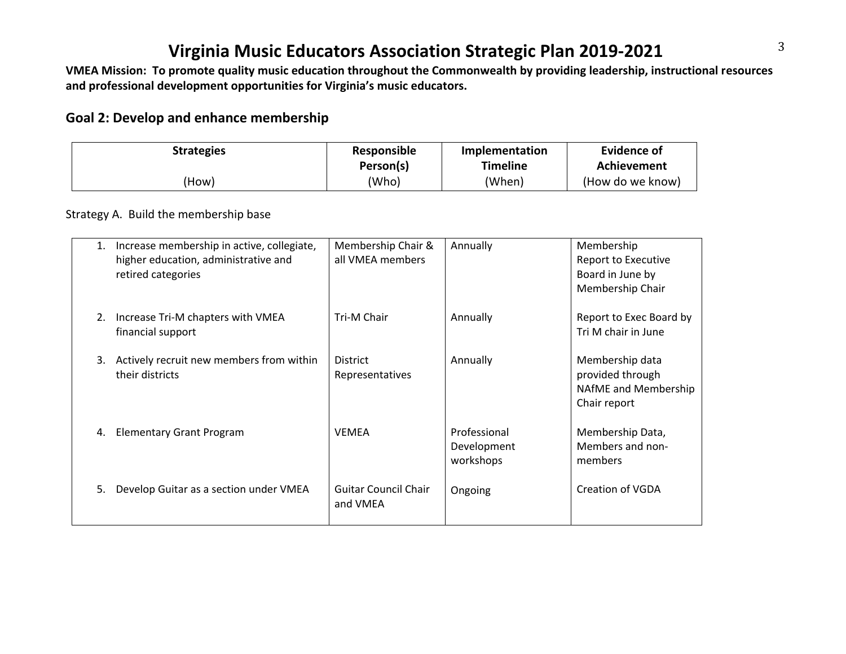**and professional development opportunities for Virginia's music educators.**

#### **Goal 2: Develop and enhance membership**

| <b>Strategies</b> | Responsible<br>Person(s) | Implementation<br><b>Timeline</b> | Evidence of<br>Achievement |
|-------------------|--------------------------|-----------------------------------|----------------------------|
| (How)             | (Who)                    | (When)                            | (How do we know)           |

#### Strategy A. Build the membership base

| 1. | Increase membership in active, collegiate,<br>higher education, administrative and<br>retired categories | Membership Chair &<br>all VMEA members  | Annually                                 | Membership<br>Report to Executive<br>Board in June by<br>Membership Chair   |
|----|----------------------------------------------------------------------------------------------------------|-----------------------------------------|------------------------------------------|-----------------------------------------------------------------------------|
| 2. | Increase Tri-M chapters with VMEA<br>financial support                                                   | Tri-M Chair                             | Annually                                 | Report to Exec Board by<br>Tri M chair in June                              |
| 3. | Actively recruit new members from within<br>their districts                                              | <b>District</b><br>Representatives      | Annually                                 | Membership data<br>provided through<br>NAfME and Membership<br>Chair report |
| 4. | <b>Elementary Grant Program</b>                                                                          | <b>VEMEA</b>                            | Professional<br>Development<br>workshops | Membership Data,<br>Members and non-<br>members                             |
| 5. | Develop Guitar as a section under VMEA                                                                   | <b>Guitar Council Chair</b><br>and VMEA | Ongoing                                  | <b>Creation of VGDA</b>                                                     |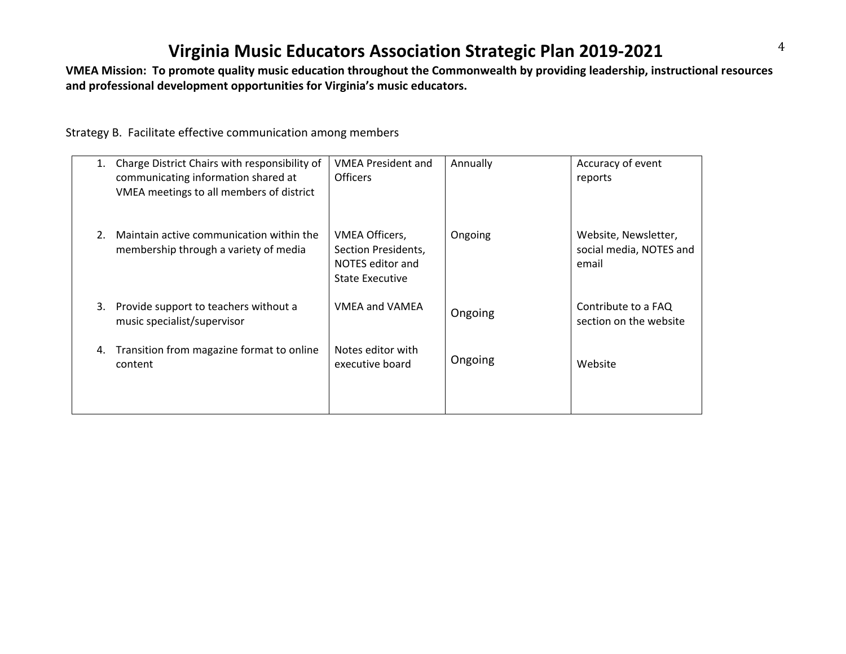**and professional development opportunities for Virginia's music educators.**

Strategy B. Facilitate effective communication among members

| 1. | Charge District Chairs with responsibility of<br>communicating information shared at<br>VMEA meetings to all members of district | <b>VMEA President and</b><br><b>Officers</b>                                        | Annually | Accuracy of event<br>reports                             |
|----|----------------------------------------------------------------------------------------------------------------------------------|-------------------------------------------------------------------------------------|----------|----------------------------------------------------------|
| 2. | Maintain active communication within the<br>membership through a variety of media                                                | VMEA Officers,<br>Section Presidents,<br>NOTES editor and<br><b>State Executive</b> | Ongoing  | Website, Newsletter,<br>social media, NOTES and<br>email |
| 3. | Provide support to teachers without a<br>music specialist/supervisor                                                             | <b>VMEA and VAMEA</b>                                                               | Ongoing  | Contribute to a FAQ<br>section on the website            |
| 4. | Transition from magazine format to online<br>content                                                                             | Notes editor with<br>executive board                                                | Ongoing  | Website                                                  |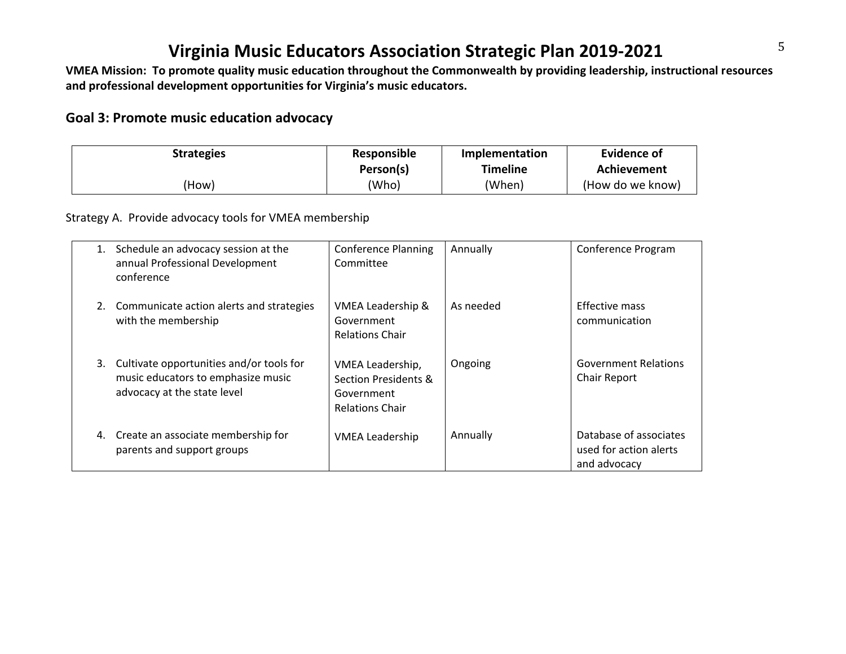**and professional development opportunities for Virginia's music educators.**

#### **Goal 3: Promote music education advocacy**

| <b>Strategies</b> | Responsible | Implementation | <b>Evidence of</b> |
|-------------------|-------------|----------------|--------------------|
|                   | Person(s)   | Timeline       | Achievement        |
| (How)             | (Who)       | (When)         | (How do we know)   |

Strategy A. Provide advocacy tools for VMEA membership

|    | Schedule an advocacy session at the<br>annual Professional Development<br>conference                          | <b>Conference Planning</b><br>Committee                                          | Annually  | Conference Program                                               |
|----|---------------------------------------------------------------------------------------------------------------|----------------------------------------------------------------------------------|-----------|------------------------------------------------------------------|
|    | 2. Communicate action alerts and strategies<br>with the membership                                            | VMEA Leadership &<br>Government<br><b>Relations Chair</b>                        | As needed | Effective mass<br>communication                                  |
| 3. | Cultivate opportunities and/or tools for<br>music educators to emphasize music<br>advocacy at the state level | VMEA Leadership,<br>Section Presidents &<br>Government<br><b>Relations Chair</b> | Ongoing   | <b>Government Relations</b><br>Chair Report                      |
| 4. | Create an associate membership for<br>parents and support groups                                              | <b>VMEA Leadership</b>                                                           | Annually  | Database of associates<br>used for action alerts<br>and advocacy |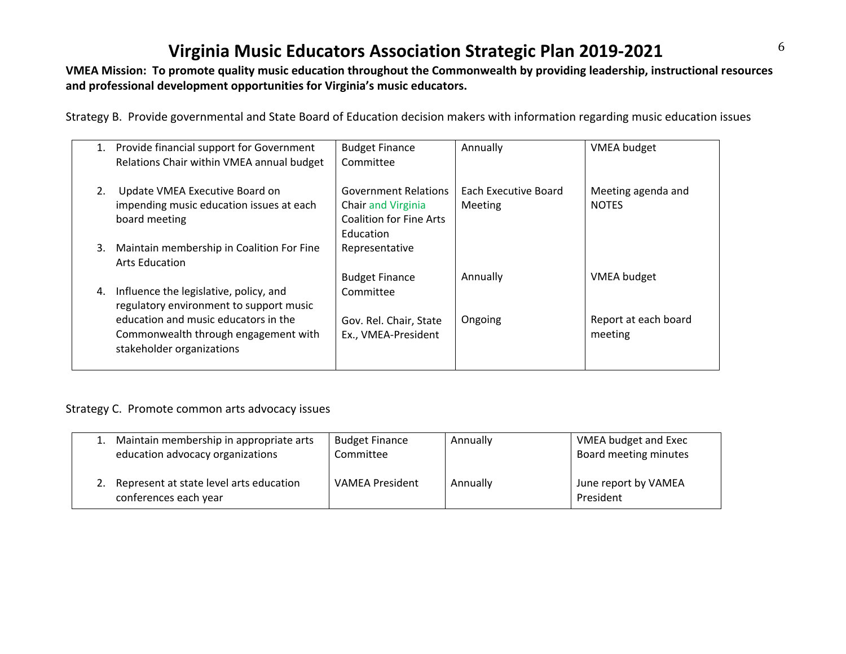#### **and professional development opportunities for Virginia's music educators.**

Strategy B. Provide governmental and State Board of Education decision makers with information regarding music education issues

|    | 1. Provide financial support for Government<br>Relations Chair within VMEA annual budget                  | <b>Budget Finance</b><br>Committee                                                  | Annually                        | <b>VMEA</b> budget                 |
|----|-----------------------------------------------------------------------------------------------------------|-------------------------------------------------------------------------------------|---------------------------------|------------------------------------|
| 2. | Update VMEA Executive Board on<br>impending music education issues at each<br>board meeting               | <b>Government Relations</b><br>Chair and Virginia<br><b>Coalition for Fine Arts</b> | Each Executive Board<br>Meeting | Meeting agenda and<br><b>NOTES</b> |
| 3. | Maintain membership in Coalition For Fine<br><b>Arts Education</b>                                        | Education<br>Representative                                                         |                                 |                                    |
|    |                                                                                                           | <b>Budget Finance</b>                                                               | Annually                        | <b>VMEA</b> budget                 |
| 4. | Influence the legislative, policy, and<br>regulatory environment to support music                         | Committee                                                                           |                                 |                                    |
|    | education and music educators in the<br>Commonwealth through engagement with<br>stakeholder organizations | Gov. Rel. Chair, State<br>Ex., VMEA-President                                       | Ongoing                         | Report at each board<br>meeting    |
|    |                                                                                                           |                                                                                     |                                 |                                    |

#### Strategy C. Promote common arts advocacy issues

| Maintain membership in appropriate arts<br>education advocacy organizations | <b>Budget Finance</b><br>Committee | Annually | VMEA budget and Exec<br>Board meeting minutes |
|-----------------------------------------------------------------------------|------------------------------------|----------|-----------------------------------------------|
| Represent at state level arts education<br>conferences each year            | <b>VAMEA President</b>             | Annually | June report by VAMEA<br>President             |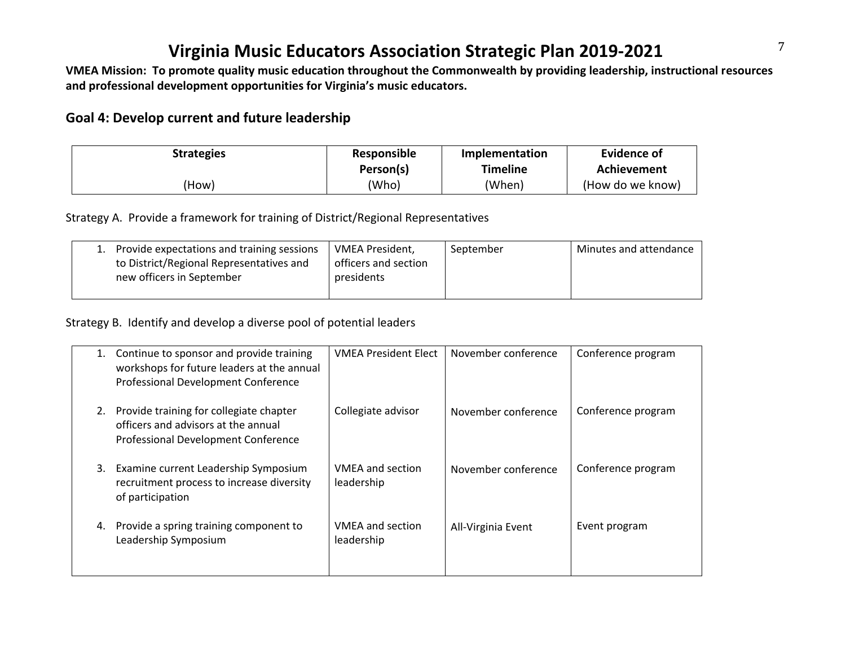**and professional development opportunities for Virginia's music educators.**

#### **Goal 4: Develop current and future leadership**

| <b>Strategies</b> | Responsible | Implementation  | Evidence of      |
|-------------------|-------------|-----------------|------------------|
|                   | Person(s)   | <b>Timeline</b> | Achievement      |
| How)              | (Who)       | (When)          | (How do we know) |

Strategy A. Provide a framework for training of District/Regional Representatives

| 1. Provide expectations and training sessions | VMEA President,      | September | Minutes and attendance |
|-----------------------------------------------|----------------------|-----------|------------------------|
| to District/Regional Representatives and      | officers and section |           |                        |
| new officers in September                     | presidents           |           |                        |
|                                               |                      |           |                        |

Strategy B. Identify and develop a diverse pool of potential leaders

| 1. | Continue to sponsor and provide training<br>workshops for future leaders at the annual<br>Professional Development Conference | <b>VMEA President Elect</b>           | November conference | Conference program |
|----|-------------------------------------------------------------------------------------------------------------------------------|---------------------------------------|---------------------|--------------------|
| 2. | Provide training for collegiate chapter<br>officers and advisors at the annual<br>Professional Development Conference         | Collegiate advisor                    | November conference | Conference program |
| 3. | Examine current Leadership Symposium<br>recruitment process to increase diversity<br>of participation                         | <b>VMEA and section</b><br>leadership | November conference | Conference program |
| 4. | Provide a spring training component to<br>Leadership Symposium                                                                | <b>VMEA and section</b><br>leadership | All-Virginia Event  | Event program      |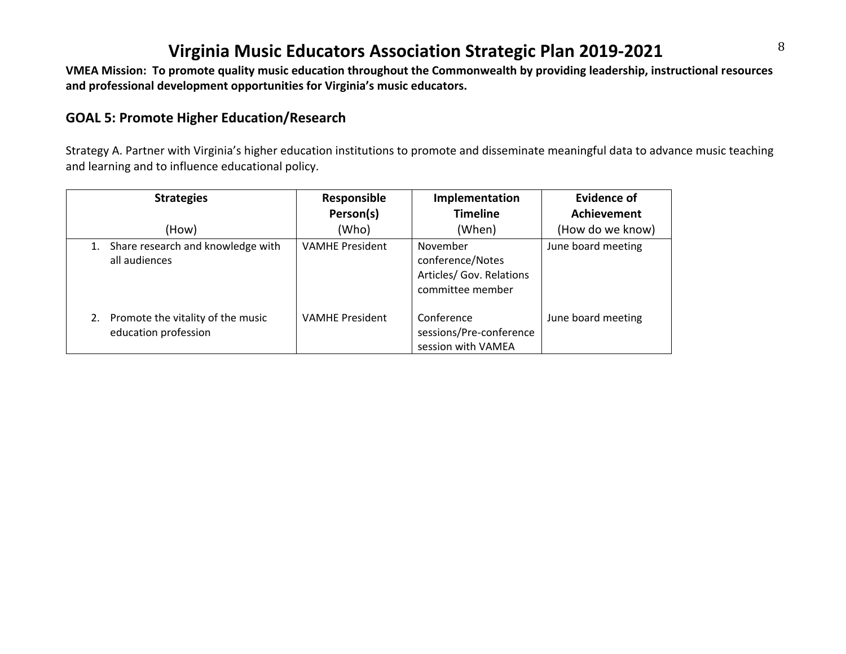**and professional development opportunities for Virginia's music educators.**

#### **GOAL 5: Promote Higher Education/Research**

Strategy A. Partner with Virginia's higher education institutions to promote and disseminate meaningful data to advance music teaching and learning and to influence educational policy.

| <b>Strategies</b>                                            | Responsible<br>Person(s) | Implementation<br><b>Timeline</b>                                            | <b>Evidence of</b><br><b>Achievement</b> |
|--------------------------------------------------------------|--------------------------|------------------------------------------------------------------------------|------------------------------------------|
| (How)                                                        | (Who)                    | (When)                                                                       | (How do we know)                         |
| 1. Share research and knowledge with<br>all audiences        | <b>VAMHE President</b>   | November<br>conference/Notes<br>Articles/ Gov. Relations<br>committee member | June board meeting                       |
| 2. Promote the vitality of the music<br>education profession | <b>VAMHE President</b>   | Conference<br>sessions/Pre-conference<br>session with VAMEA                  | June board meeting                       |